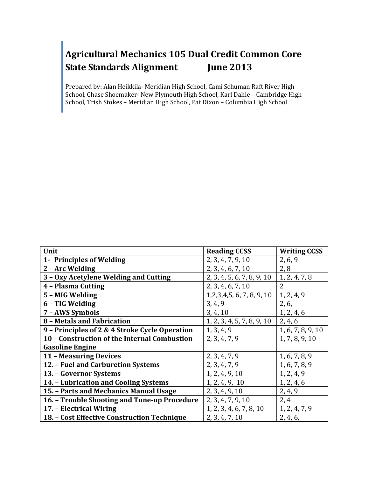Prepared by: Alan Heikkila- Meridian High School, Cami Schuman Raft River High School, Chase Shoemaker- New Plymouth High School, Karl Dahle – Cambridge High School, Trish Stokes – Meridian High School, Pat Dixon – Columbia High School

| Unit                                           | <b>Reading CCSS</b>           | <b>Writing CCSS</b> |
|------------------------------------------------|-------------------------------|---------------------|
| 1- Principles of Welding                       | 2, 3, 4, 7, 9, 10             | 2, 6, 9             |
| 2 - Arc Welding                                | 2, 3, 4, 6, 7, 10             | 2,8                 |
| 3 - Oxy Acetylene Welding and Cutting          | 2, 3, 4, 5, 6, 7, 8, 9, 10    | 1, 2, 4, 7, 8       |
| 4 - Plasma Cutting                             | 2, 3, 4, 6, 7, 10             | $\overline{2}$      |
| 5 - MIG Welding                                | 1, 2, 3, 4, 5, 6, 7, 8, 9, 10 | 1, 2, 4, 9          |
| 6 - TIG Welding                                | 3, 4, 9                       | 2, 6,               |
| 7 - AWS Symbols                                | 3, 4, 10                      | 1, 2, 4, 6          |
| 8 - Metals and Fabrication                     | 1, 2, 3, 4, 5, 7, 8, 9, 10    | 2, 4, 6             |
| 9 - Principles of 2 & 4 Stroke Cycle Operation | 1, 3, 4, 9                    | 1, 6, 7, 8, 9, 10   |
| 10 - Construction of the Internal Combustion   | 2, 3, 4, 7, 9                 | 1, 7, 8, 9, 10      |
| <b>Gasoline Engine</b>                         |                               |                     |
| 11 - Measuring Devices                         | 2, 3, 4, 7, 9                 | 1, 6, 7, 8, 9       |
| 12. - Fuel and Carburetion Systems             | 2, 3, 4, 7, 9                 | 1, 6, 7, 8, 9       |
| 13. - Governor Systems                         | 1, 2, 4, 9, 10                | 1, 2, 4, 9          |
| 14. - Lubrication and Cooling Systems          | 1, 2, 4, 9, 10                | 1, 2, 4, 6          |
| 15. - Parts and Mechanics Manual Usage         | 2, 3, 4, 9, 10                | 2, 4, 9             |
| 16. - Trouble Shooting and Tune-up Procedure   | 2, 3, 4, 7, 9, 10             | 2,4                 |
| 17. - Electrical Wiring                        | 1, 2, 3, 4, 6, 7, 8, 10       | 1, 2, 4, 7, 9       |
| 18. - Cost Effective Construction Technique    | 2, 3, 4, 7, 10                | 2, 4, 6,            |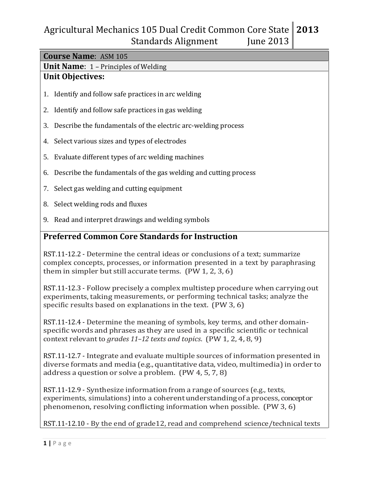| <b>Course Name: ASM 105</b>                                                                                                                                                                                                     |  |  |
|---------------------------------------------------------------------------------------------------------------------------------------------------------------------------------------------------------------------------------|--|--|
| <b>Unit Name:</b> $1$ – Principles of Welding                                                                                                                                                                                   |  |  |
| <b>Unit Objectives:</b>                                                                                                                                                                                                         |  |  |
| 1. Identify and follow safe practices in arc welding                                                                                                                                                                            |  |  |
| 2. Identify and follow safe practices in gas welding                                                                                                                                                                            |  |  |
| Describe the fundamentals of the electric arc-welding process<br>3.                                                                                                                                                             |  |  |
| 4. Select various sizes and types of electrodes                                                                                                                                                                                 |  |  |
| 5. Evaluate different types of arc welding machines                                                                                                                                                                             |  |  |
| Describe the fundamentals of the gas welding and cutting process<br>6.                                                                                                                                                          |  |  |
| 7. Select gas welding and cutting equipment                                                                                                                                                                                     |  |  |
| Select welding rods and fluxes<br>8.                                                                                                                                                                                            |  |  |
| 9. Read and interpret drawings and welding symbols                                                                                                                                                                              |  |  |
| <b>Preferred Common Core Standards for Instruction</b>                                                                                                                                                                          |  |  |
| RST.11-12.2 - Determine the central ideas or conclusions of a text; summarize<br>complex concepts, processes, or information presented in a text by paraphrasing<br>them in simpler but still accurate terms. $(PW 1, 2, 3, 6)$ |  |  |

RST.11-12.3 - Follow precisely a complex multistep procedure when carrying out experiments, taking measurements, or performing technical tasks; analyze the specific results based on explanations in the text. (PW 3, 6)

RST.11-12.4 - Determine the meaning of symbols, key terms, and other domainspecific words and phrases as they are used in a specific scientific or technical context relevant to *grades 11–12 texts and topics*. (PW 1, 2, 4, 8, 9)

RST.11-12.7 - Integrate and evaluate multiple sources of information presented in diverse formats and media (e.g., quantitative data, video, multimedia) in order to address a question or solve a problem. (PW 4, 5, 7, 8)

RST.11-12.9 - Synthesize information from a range of sources (e.g., texts, experiments, simulations) into a coherent understanding of a process, conceptor phenomenon, resolving conflicting information when possible. (PW 3, 6)

RST.11-12.10 - By the end of grade12, read and comprehend science/technical texts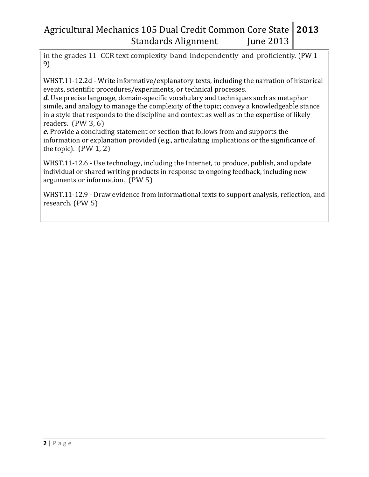in the grades 11–CCR text complexity band independently and proficiently. (PW 1 - 9)

WHST.11-12.2d - Write informative/explanatory texts, including the narration of historical events, scientific procedures/experiments, or technical processes.

*d.* Use precise language, domain-specific vocabulary and techniques such as metaphor simile, and analogy to manage the complexity of the topic; convey a knowledgeable stance in a style that responds to the discipline and context as well as to the expertise of likely readers. (PW 3, 6)

*e.* Provide a concluding statement or section that follows from and supports the information or explanation provided (e.g., articulating implications or the significance of the topic).  $(PW 1, 2)$ 

WHST.11-12.6 - Use technology, including the Internet, to produce, publish, and update individual or shared writing products in response to ongoing feedback, including new arguments or information. (PW 5)

WHST.11-12.9 - Draw evidence from informational texts to support analysis, reflection, and research. (PW 5)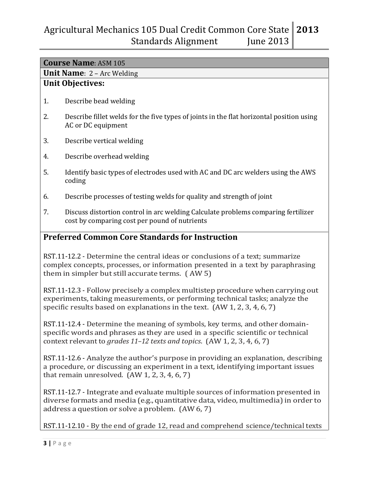|                                                        | <b>Course Name: ASM 105</b>                                                                                                                                                                                                                 |  |  |
|--------------------------------------------------------|---------------------------------------------------------------------------------------------------------------------------------------------------------------------------------------------------------------------------------------------|--|--|
|                                                        | <b>Unit Name</b> : $2 - Arc$ Welding                                                                                                                                                                                                        |  |  |
|                                                        | <b>Unit Objectives:</b>                                                                                                                                                                                                                     |  |  |
| 1.                                                     | Describe bead welding                                                                                                                                                                                                                       |  |  |
| 2.                                                     | Describe fillet welds for the five types of joints in the flat horizontal position using<br>AC or DC equipment                                                                                                                              |  |  |
| 3.                                                     | Describe vertical welding                                                                                                                                                                                                                   |  |  |
| 4.                                                     | Describe overhead welding                                                                                                                                                                                                                   |  |  |
| 5.                                                     | Identify basic types of electrodes used with AC and DC arc welders using the AWS<br>coding                                                                                                                                                  |  |  |
| 6.                                                     | Describe processes of testing welds for quality and strength of joint                                                                                                                                                                       |  |  |
| 7.                                                     | Discuss distortion control in arc welding Calculate problems comparing fertilizer<br>cost by comparing cost per pound of nutrients                                                                                                          |  |  |
| <b>Preferred Common Core Standards for Instruction</b> |                                                                                                                                                                                                                                             |  |  |
|                                                        | RST.11-12.2 - Determine the central ideas or conclusions of a text; summarize<br>complex concepts, processes, or information presented in a text by paraphrasing<br>them in simpler but still accurate terms. (AW 5)                        |  |  |
|                                                        | RST.11-12.3 - Follow precisely a complex multistep procedure when carrying out<br>experiments, taking measurements, or performing technical tasks; analyze the<br>specific results based on explanations in the text. (AW 1, 2, 3, 4, 6, 7) |  |  |
|                                                        | RST.11-12.4 - Determine the meaning of symbols, key terms, and other domain-<br>enecific words and phrases as they are used in a specific scientific or technical                                                                           |  |  |

specific words and phrases as they are used in a specific scientific or technical context relevant to *grades 11–12 texts and topics*. (AW 1, 2, 3, 4, 6, 7)

RST.11-12.6 - Analyze the author's purpose in providing an explanation, describing a procedure, or discussing an experiment in a text, identifying important issues that remain unresolved. (AW 1, 2, 3, 4, 6, 7)

RST.11-12.7 - Integrate and evaluate multiple sources of information presented in diverse formats and media (e.g., quantitative data, video, multimedia) in order to address a question or solve a problem. (AW 6, 7)

RST.11-12.10 - By the end of grade 12, read and comprehend science/technical texts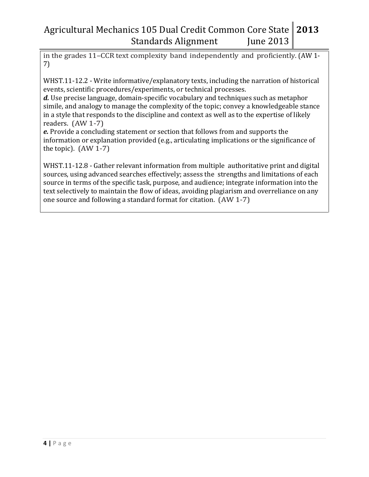in the grades 11–CCR text complexity band independently and proficiently. (AW 1- 7)

WHST.11-12.2 - Write informative/explanatory texts, including the narration of historical events, scientific procedures/experiments, or technical processes.

*d.* Use precise language, domain-specific vocabulary and techniques such as metaphor simile, and analogy to manage the complexity of the topic; convey a knowledgeable stance in a style that responds to the discipline and context as well as to the expertise of likely readers. (AW 1-7)

*e.* Provide a concluding statement or section that follows from and supports the information or explanation provided (e.g., articulating implications or the significance of the topic).  $(AW 1-7)$ 

WHST.11-12.8 - Gather relevant information from multiple authoritative print and digital sources, using advanced searches effectively; assess the strengths and limitations of each source in terms of the specific task, purpose, and audience; integrate information into the text selectively to maintain the flow of ideas, avoiding plagiarism and overreliance on any one source and following a standard format for citation. (AW 1-7)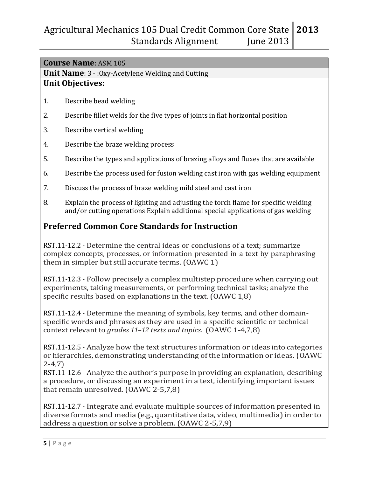|                                                        | <b>Course Name: ASM 105</b>                                                                                                                                                                                            |  |  |  |
|--------------------------------------------------------|------------------------------------------------------------------------------------------------------------------------------------------------------------------------------------------------------------------------|--|--|--|
|                                                        | <b>Unit Name:</b> $3 - 0xy$ -Acetylene Welding and Cutting                                                                                                                                                             |  |  |  |
|                                                        | <b>Unit Objectives:</b>                                                                                                                                                                                                |  |  |  |
| 1.                                                     | Describe bead welding                                                                                                                                                                                                  |  |  |  |
| 2.                                                     | Describe fillet welds for the five types of joints in flat horizontal position                                                                                                                                         |  |  |  |
| 3.                                                     | Describe vertical welding                                                                                                                                                                                              |  |  |  |
| 4.                                                     | Describe the braze welding process                                                                                                                                                                                     |  |  |  |
| 5.                                                     | Describe the types and applications of brazing alloys and fluxes that are available                                                                                                                                    |  |  |  |
| 6.                                                     | Describe the process used for fusion welding cast iron with gas welding equipment                                                                                                                                      |  |  |  |
| 7.                                                     | Discuss the process of braze welding mild steel and cast iron                                                                                                                                                          |  |  |  |
| 8.                                                     | Explain the process of lighting and adjusting the torch flame for specific welding<br>and/or cutting operations Explain additional special applications of gas welding                                                 |  |  |  |
| <b>Preferred Common Core Standards for Instruction</b> |                                                                                                                                                                                                                        |  |  |  |
|                                                        | RST.11-12.2 - Determine the central ideas or conclusions of a text; summarize<br>complex concepts, processes, or information presented in a text by paraphrasing<br>them in simpler but still accurate terms. (OAWC 1) |  |  |  |
|                                                        | DCT 11 19.2. Esllau processor a complex multictor procedure un consuma out                                                                                                                                             |  |  |  |

RST.11-12.3 - Follow precisely a complex multistep procedure when carrying out experiments, taking measurements, or performing technical tasks; analyze the specific results based on explanations in the text. (OAWC 1,8)

RST.11-12.4 - Determine the meaning of symbols, key terms, and other domainspecific words and phrases as they are used in a specific scientific or technical context relevant to *grades 11–12 texts and topics*. (OAWC 1-4,7,8)

RST.11-12.5 - Analyze how the text structures information or ideas into categories or hierarchies, demonstrating understanding of the information or ideas. (OAWC 2-4,7)

RST.11-12.6 - Analyze the author's purpose in providing an explanation, describing a procedure, or discussing an experiment in a text, identifying important issues that remain unresolved. (OAWC 2-5,7,8)

RST.11-12.7 - Integrate and evaluate multiple sources of information presented in diverse formats and media (e.g., quantitative data, video, multimedia) in order to address a question or solve a problem. (OAWC 2-5,7,9)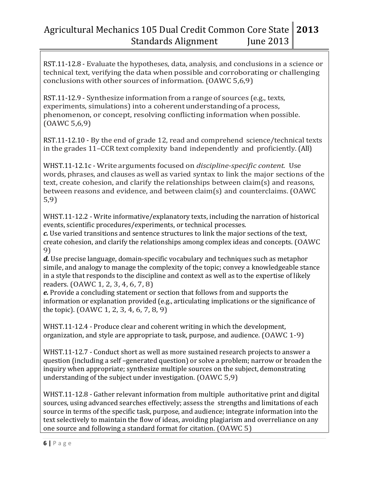RST.11-12.8 - Evaluate the hypotheses, data, analysis, and conclusions in a science or technical text, verifying the data when possible and corroborating or challenging conclusions with other sources of information. (OAWC 5,6,9)

RST.11-12.9 - Synthesize information from a range of sources (e.g., texts, experiments, simulations) into a coherent understanding of a process, phenomenon, or concept, resolving conflicting information when possible. (OAWC 5,6,9)

RST.11-12.10 - By the end of grade 12, read and comprehend science/technical texts in the grades 11–CCR text complexity band independently and proficiently. (All)

WHST.11-12.1c - Write arguments focused on *discipline-specific content.* Use words, phrases, and clauses as well as varied syntax to link the major sections of the text, create cohesion, and clarify the relationships between claim(s) and reasons, between reasons and evidence, and between claim(s) and counterclaims. (OAWC 5,9)

WHST.11-12.2 - Write informative/explanatory texts, including the narration of historical events, scientific procedures/experiments, or technical processes.

*c.* Use varied transitions and sentence structures to link the major sections of the text, create cohesion, and clarify the relationships among complex ideas and concepts. (OAWC 9)

*d.* Use precise language, domain-specific vocabulary and techniques such as metaphor simile, and analogy to manage the complexity of the topic; convey a knowledgeable stance in a style that responds to the discipline and context as well as to the expertise of likely readers. (OAWC 1, 2, 3, 4, 6, 7, 8)

*e.* Provide a concluding statement or section that follows from and supports the information or explanation provided (e.g., articulating implications or the significance of the topic). (OAWC 1, 2, 3, 4, 6, 7, 8, 9)

WHST.11-12.4 - Produce clear and coherent writing in which the development, organization, and style are appropriate to task, purpose, and audience. (OAWC 1-9)

WHST.11-12.7 - Conduct short as well as more sustained research projects to answer a question (including a self –generated question) or solve a problem; narrow or broaden the inquiry when appropriate; synthesize multiple sources on the subject, demonstrating understanding of the subject under investigation. (OAWC 5,9)

WHST.11-12.8 - Gather relevant information from multiple authoritative print and digital sources, using advanced searches effectively; assess the strengths and limitations of each source in terms of the specific task, purpose, and audience; integrate information into the text selectively to maintain the flow of ideas, avoiding plagiarism and overreliance on any one source and following a standard format for citation. (OAWC 5)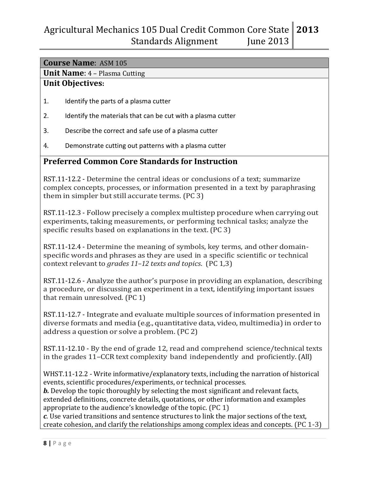## **Course Name**: ASM 105

**Unit Name**: 4 – Plasma Cutting

#### **Unit Objectives:**

- 1. Identify the parts of a plasma cutter
- 2. Identify the materials that can be cut with a plasma cutter
- 3. Describe the correct and safe use of a plasma cutter
- 4. Demonstrate cutting out patterns with a plasma cutter

### **Preferred Common Core Standards for Instruction**

RST.11-12.2 - Determine the central ideas or conclusions of a text; summarize complex concepts, processes, or information presented in a text by paraphrasing them in simpler but still accurate terms. (PC 3)

RST.11-12.3 - Follow precisely a complex multistep procedure when carrying out experiments, taking measurements, or performing technical tasks; analyze the specific results based on explanations in the text.(PC 3)

RST.11-12.4 - Determine the meaning of symbols, key terms, and other domainspecific words and phrases as they are used in a specific scientific or technical context relevant to *grades 11–12 texts and topics*. (PC 1,3)

RST.11-12.6 - Analyze the author's purpose in providing an explanation, describing a procedure, or discussing an experiment in a text, identifying important issues that remain unresolved. (PC 1)

RST.11-12.7 - Integrate and evaluate multiple sources of information presented in diverse formats and media (e.g., quantitative data, video, multimedia)in order to address a question or solve a problem. (PC 2)

RST.11-12.10 - By the end of grade 12, read and comprehend science/technical texts in the grades 11–CCR text complexity band independently and proficiently. (All)

WHST.11-12.2 - Write informative/explanatory texts, including the narration of historical events, scientific procedures/experiments, or technical processes.

*b*. Develop the topic thoroughly by selecting the most significant and relevant facts, extended definitions, concrete details, quotations, or other information and examples appropriate to the audience's knowledge of the topic. (PC 1)

*c*. Use varied transitions and sentence structures to link the major sections of the text, create cohesion, and clarify the relationships among complex ideas and concepts. (PC 1-3)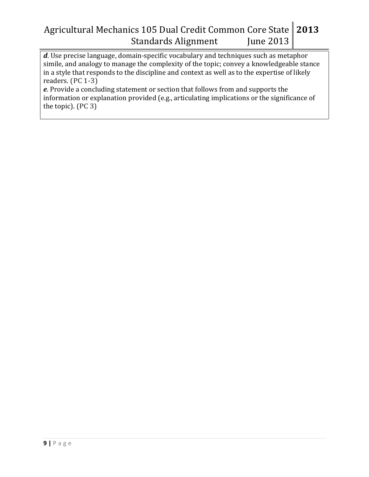*d*. Use precise language, domain-specific vocabulary and techniques such as metaphor simile, and analogy to manage the complexity of the topic; convey a knowledgeable stance in a style that responds to the discipline and context as well as to the expertise of likely readers. (PC 1-3)

*e*. Provide a concluding statement or section that follows from and supports the information or explanation provided (e.g., articulating implications or the significance of the topic). (PC 3)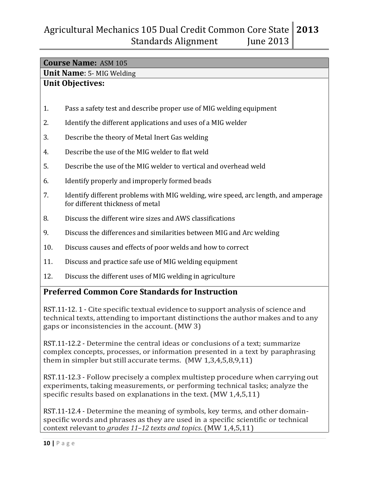# **Course Name:** ASM 105 **Unit Name**: 5- MIG Welding **Unit Objectives:** 1. Pass a safety test and describe proper use of MIG welding equipment 2. Identify the different applications and uses of a MIG welder 3. Describe the theory of Metal Inert Gas welding 4. Describe the use of the MIG welder to flat weld 5. Describe the use of the MIG welder to vertical and overhead weld 6. Identify properly and improperly formed beads 7. Identify different problems with MIG welding, wire speed, arc length, and amperage for different thickness of metal 8. Discuss the different wire sizes and AWS classifications 9. Discuss the differences and similarities between MIG and Arc welding 10. Discuss causes and effects of poor welds and how to correct 11. Discuss and practice safe use of MIG welding equipment 12. Discuss the different uses of MIG welding in agriculture **Preferred Common Core Standards for Instruction**

RST.11-12. 1 - Cite specific textual evidence to support analysis of science and technical texts, attending to important distinctions the author makes and to any gaps or inconsistencies in the account. (MW 3)

RST.11-12.2 - Determine the central ideas or conclusions of a text; summarize complex concepts, processes, or information presented in a text by paraphrasing them in simpler but still accurate terms. (MW 1,3,4,5,8,9,11)

RST.11-12.3 - Follow precisely a complex multistep procedure when carrying out experiments, taking measurements, or performing technical tasks; analyze the specific results based on explanations in the text. (MW 1,4,5,11)

RST.11-12.4 - Determine the meaning of symbols, key terms, and other domainspecific words and phrases as they are used in a specific scientific or technical context relevant to *grades 11–12 texts and topics*. (MW 1,4,5,11)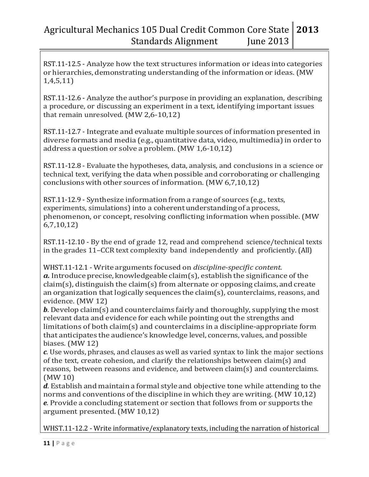RST.11-12.5 - Analyze how the text structures information or ideas into categories or hierarchies, demonstrating understanding of the information or ideas. (MW 1,4,5,11)

RST.11-12.6 - Analyze the author's purpose in providing an explanation, describing a procedure, or discussing an experiment in a text, identifying important issues that remain unresolved. (MW 2,6-10,12)

RST.11-12.7 - Integrate and evaluate multiple sources of information presented in diverse formats and media (e.g., quantitative data, video, multimedia)in order to address a question or solve a problem. (MW 1,6-10,12)

RST.11-12.8 - Evaluate the hypotheses, data, analysis, and conclusions in a science or technical text, verifying the data when possible and corroborating or challenging conclusions with other sources of information. (MW 6,7,10,12)

RST.11-12.9 - Synthesize information from a range of sources (e.g., texts, experiments, simulations) into a coherentunderstanding of a process, phenomenon, or concept, resolving conflicting information when possible. (MW 6,7,10,12)

RST.11-12.10 - By the end of grade 12, read and comprehend science/technical texts in the grades 11–CCR text complexity band independently and proficiently. (All)

WHST.11-12.1 - Write arguments focused on *discipline-specific content.*   $a$ . Introduce precise, knowledgeable claim(s), establish the significance of the  $claim(s)$ , distinguish the claim(s) from alternate or opposing claims, and create an organization that logically sequences the claim(s), counterclaims, reasons, and evidence. (MW 12)

*b*. Develop claim(s) and counterclaims fairly and thoroughly, supplying the most relevant data and evidence for each while pointing out the strengths and limitations of both claim(s) and counterclaims in a discipline-appropriate form that anticipates the audience's knowledge level, concerns, values, and possible biases. (MW 12)

*c*. Use words, phrases, and clauses as well as varied syntax to link the major sections of the text, create cohesion, and clarify the relationships between claim(s) and reasons, between reasons and evidence, and between claim(s) and counterclaims. (MW 10)

*d*. Establish and maintain a formal style and objective tone while attending to the norms and conventions of the discipline in which they are writing. (MW 10,12) *e*. Provide a concluding statement or section that follows from or supports the argument presented. (MW 10,12)

WHST.11-12.2 - Write informative/explanatory texts, including the narration of historical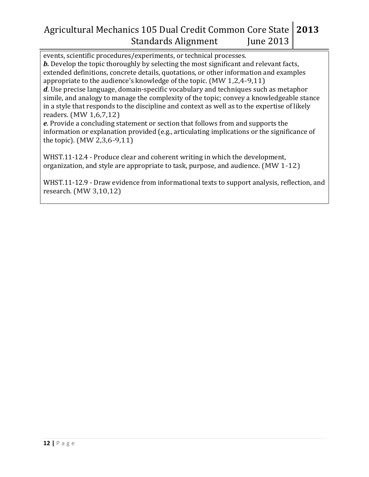events, scientific procedures/experiments, or technical processes. *b.* Develop the topic thoroughly by selecting the most significant and relevant facts, extended definitions, concrete details, quotations, or other information and examples appropriate to the audience's knowledge of the topic. (MW 1,2,4-9,11)

*d*. Use precise language, domain-specific vocabulary and techniques such as metaphor simile, and analogy to manage the complexity of the topic; convey a knowledgeable stance in a style that responds to the discipline and context as well as to the expertise of likely readers. (MW 1,6,7,12)

*e*. Provide a concluding statement or section that follows from and supports the information or explanation provided (e.g., articulating implications or the significance of the topic). (MW 2,3,6-9,11)

WHST.11-12.4 - Produce clear and coherent writing in which the development, organization, and style are appropriate to task, purpose, and audience. (MW 1-12)

WHST.11-12.9 - Draw evidence from informational texts to support analysis, reflection, and research. (MW 3,10,12)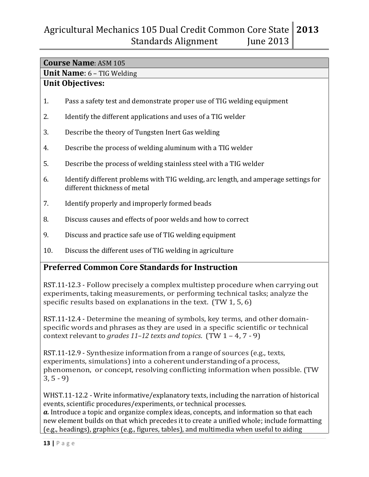# **Course Name**: ASM 105 **Unit Name**: 6 – TIG Welding **Unit Objectives:** 1. Pass a safety test and demonstrate proper use of TIG welding equipment 2. Identify the different applications and uses of a TIG welder 3. Describe the theory of Tungsten Inert Gas welding 4. Describe the process of welding aluminum with a TIG welder 5. Describe the process of welding stainless steel with a TIG welder 6. Identify different problems with TIG welding, arc length, and amperage settings for different thickness of metal 7. Identify properly and improperly formed beads 8. Discuss causes and effects of poor welds and how to correct 9. Discuss and practice safe use of TIG welding equipment 10. Discuss the different uses of TIG welding in agriculture **Preferred Common Core Standards for Instruction**

RST.11-12.3 - Follow precisely a complex multistep procedure when carrying out experiments, taking measurements, or performing technical tasks; analyze the specific results based on explanations in the text. (TW 1, 5, 6)

RST.11-12.4 - Determine the meaning of symbols, key terms, and other domainspecific words and phrases as they are used in a specific scientific or technical context relevant to *grades 11–12 texts and topics*. (TW 1 – 4, 7 - 9)

RST.11-12.9 - Synthesize information from a range of sources (e.g., texts, experiments, simulations) into a coherent understanding of a process, phenomenon, or concept, resolving conflicting information when possible. (TW  $3, 5 - 9$ 

WHST.11-12.2 - Write informative/explanatory texts, including the narration of historical events, scientific procedures/experiments, or technical processes. *a.* Introduce a topic and organize complex ideas, concepts, and information so that each new element builds on that which precedes it to create a unified whole; include formatting (e.g., headings), graphics (e.g., figures, tables), and multimedia when useful to aiding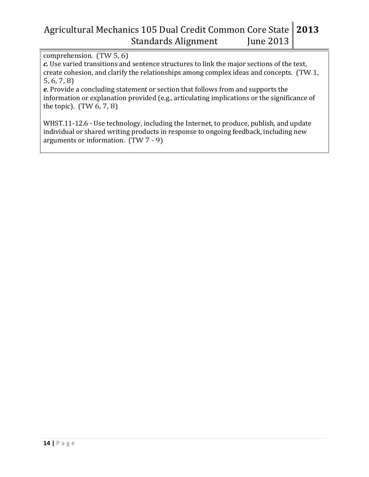comprehension. (TW 5, 6)

*c.* Use varied transitions and sentence structures to link the major sections of the text, create cohesion, and clarify the relationships among complex ideas and concepts. (TW 1, 5, 6, 7, 8)

*e*. Provide a concluding statement or section that follows from and supports the information or explanation provided (e.g., articulating implications or the significance of the topic). (TW 6, 7, 8)

WHST.11-12.6 - Use technology, including the Internet, to produce, publish, and update individual or shared writing products in response to ongoing feedback, including new arguments or information. (TW 7 - 9)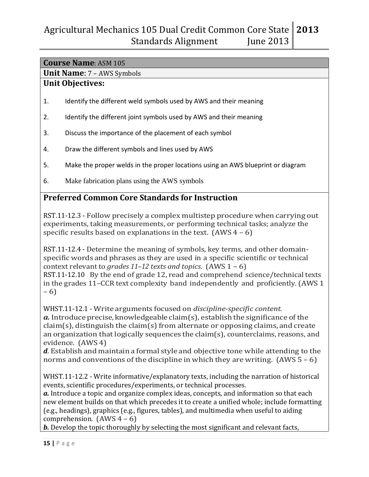## **Course Name**: ASM 105

**Unit Name**: 7 – AWS Symbols

### **Unit Objectives:**

- 1. Identify the different weld symbols used by AWS and their meaning
- 2. Identify the different joint symbols used by AWS and their meaning
- 3. Discuss the importance of the placement of each symbol
- 4. Draw the different symbols and lines used by AWS
- 5. Make the proper welds in the proper locations using an AWS blueprint or diagram
- 6. Make fabrication plans using the AWS symbols

## **Preferred Common Core Standards for Instruction**

RST.11-12.3 - Follow precisely a complex multistep procedure when carrying out experiments, taking measurements, or performing technical tasks; analyze the specific results based on explanations in the text.  $(AWS4 - 6)$ 

RST.11-12.4 - Determine the meaning of symbols, key terms, and other domainspecific words and phrases as they are used in a specific scientific or technical context relevant to *grades 11–12 texts and topics*. (AWS 1 – 6) RST.11-12.10 By the end of grade 12, read and comprehend science/technical texts in the grades 11–CCR text complexity band independently and proficiently.(AWS 1 – 6)

WHST.11-12.1 - Write arguments focused on *discipline-specific content. a*. Introduce precise, knowledgeable claim(s), establish the significance of the  $claim(s)$ , distinguish the claim(s) from alternate or opposing claims, and create an organization that logically sequences the claim(s), counterclaims, reasons, and evidence. (AWS 4)

*d*. Establish and maintain a formal style and objective tone while attending to the norms and conventions of the discipline in which they are writing.  $(AWS 5 - 6)$ 

WHST.11-12.2 - Write informative/explanatory texts, including the narration of historical events, scientific procedures/experiments, or technical processes.

*a.* Introduce a topic and organize complex ideas, concepts, and information so that each new element builds on that which precedes it to create a unified whole; include formatting (e.g., headings), graphics (e.g., figures, tables), and multimedia when useful to aiding comprehension.  $(AWS4 - 6)$ 

*b*. Develop the topic thoroughly by selecting the most significant and relevant facts,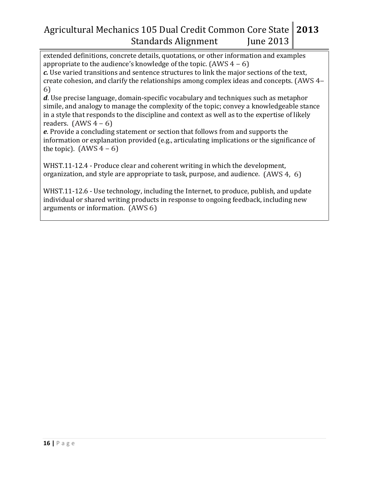extended definitions, concrete details, quotations, or other information and examples appropriate to the audience's knowledge of the topic.  $(AWS4 - 6)$ 

*c.* Use varied transitions and sentence structures to link the major sections of the text, create cohesion, and clarify the relationships among complex ideas and concepts. (AWS 4– 6)

*d*. Use precise language, domain-specific vocabulary and techniques such as metaphor simile, and analogy to manage the complexity of the topic; convey a knowledgeable stance in a style that responds to the discipline and context as well as to the expertise of likely readers.  $(AWS 4 – 6)$ 

*e*. Provide a concluding statement or section that follows from and supports the information or explanation provided (e.g., articulating implications or the significance of the topic).  $(AWS4 - 6)$ 

WHST.11-12.4 - Produce clear and coherent writing in which the development, organization, and style are appropriate to task, purpose, and audience. (AWS 4, 6)

WHST.11-12.6 - Use technology, including the Internet, to produce, publish, and update individual or shared writing products in response to ongoing feedback, including new arguments or information. (AWS 6)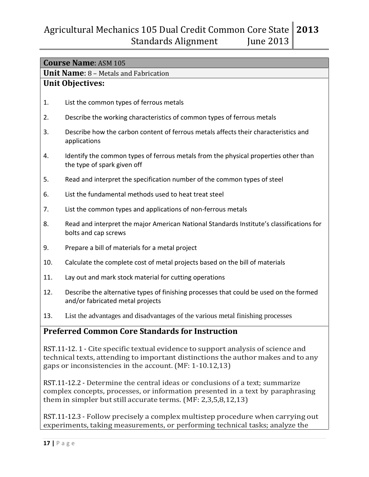|     | <b>Course Name: ASM 105</b>                                                                                                                                         |
|-----|---------------------------------------------------------------------------------------------------------------------------------------------------------------------|
|     | <b>Unit Name: 8 - Metals and Fabrication</b>                                                                                                                        |
|     | <b>Unit Objectives:</b>                                                                                                                                             |
|     |                                                                                                                                                                     |
| 1.  | List the common types of ferrous metals                                                                                                                             |
| 2.  | Describe the working characteristics of common types of ferrous metals                                                                                              |
| 3.  | Describe how the carbon content of ferrous metals affects their characteristics and<br>applications                                                                 |
| 4.  | Identify the common types of ferrous metals from the physical properties other than<br>the type of spark given off                                                  |
| 5.  | Read and interpret the specification number of the common types of steel                                                                                            |
| 6.  | List the fundamental methods used to heat treat steel                                                                                                               |
| 7.  | List the common types and applications of non-ferrous metals                                                                                                        |
| 8.  | Read and interpret the major American National Standards Institute's classifications for<br>bolts and cap screws                                                    |
| 9.  | Prepare a bill of materials for a metal project                                                                                                                     |
| 10. | Calculate the complete cost of metal projects based on the bill of materials                                                                                        |
| 11. | Lay out and mark stock material for cutting operations                                                                                                              |
| 12. | Describe the alternative types of finishing processes that could be used on the formed<br>and/or fabricated metal projects                                          |
| 13. | List the advantages and disadvantages of the various metal finishing processes                                                                                      |
|     | <b>Preferred Common Core Standards for Instruction</b>                                                                                                              |
|     | RST.11-12.1 - Cite specific textual evidence to support analysis of science and<br>technical texts, attending to important distinctions the author makes and to any |

RST.11-12.2 - Determine the central ideas or conclusions of a text; summarize complex concepts, processes, or information presented in a text by paraphrasing them in simpler but still accurate terms. (MF: 2,3,5,8,12,13)

gaps or inconsistencies in the account. (MF: 1-10.12,13)

RST.11-12.3 - Follow precisely a complex multistep procedure when carrying out experiments, taking measurements, or performing technical tasks; analyze the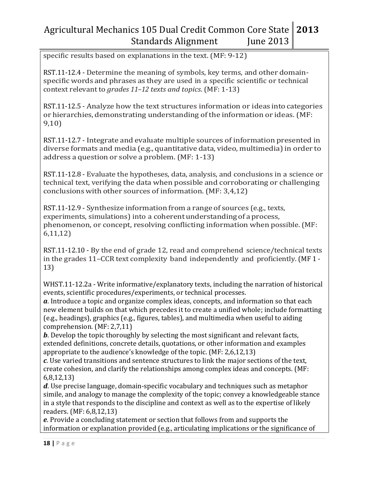specific results based on explanations in the text. (MF: 9-12)

RST.11-12.4 - Determine the meaning of symbols, key terms, and other domainspecific words and phrases as they are used in a specific scientific or technical context relevant to *grades 11–12 texts and topics*. (MF: 1-13)

RST.11-12.5 - Analyze how the text structures information or ideas into categories or hierarchies, demonstrating understanding of the information or ideas. (MF: 9,10)

RST.11-12.7 - Integrate and evaluate multiple sources of information presented in diverse formats and media (e.g., quantitative data, video, multimedia)in order to address a question or solve a problem. (MF: 1-13)

RST.11-12.8 - Evaluate the hypotheses, data, analysis, and conclusions in a science or technical text, verifying the data when possible and corroborating or challenging conclusions with other sources of information. (MF: 3,4,12)

RST.11-12.9 - Synthesize information from a range of sources (e.g., texts, experiments, simulations) into a coherentunderstanding of a process, phenomenon, or concept, resolving conflicting information when possible. (MF: 6,11,12)

RST.11-12.10 - By the end of grade 12, read and comprehend science/technical texts in the grades 11–CCR text complexity band independently and proficiently. (MF 1 - 13)

WHST.11-12.2a - Write informative/explanatory texts, including the narration of historical events, scientific procedures/experiments, or technical processes.

*a*. Introduce a topic and organize complex ideas, concepts, and information so that each new element builds on that which precedes it to create a unified whole; include formatting (e.g., headings), graphics (e.g., figures, tables), and multimedia when useful to aiding comprehension. (MF: 2,7,11)

*b*. Develop the topic thoroughly by selecting the most significant and relevant facts, extended definitions, concrete details, quotations, or other information and examples appropriate to the audience's knowledge of the topic. (MF: 2,6,12,13)

*c*. Use varied transitions and sentence structures to link the major sections of the text, create cohesion, and clarify the relationships among complex ideas and concepts. (MF: 6,8,12,13)

*d*. Use precise language, domain-specific vocabulary and techniques such as metaphor simile, and analogy to manage the complexity of the topic; convey a knowledgeable stance in a style that responds to the discipline and context as well as to the expertise of likely readers. (MF: 6,8,12,13)

*e*. Provide a concluding statement or section that follows from and supports the information or explanation provided (e.g., articulating implications or the significance of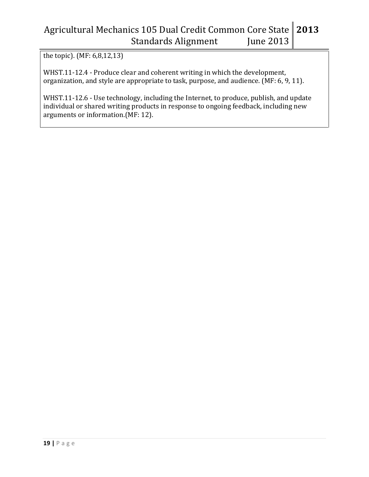the topic). (MF: 6,8,12,13)

WHST.11-12.4 - Produce clear and coherent writing in which the development, organization, and style are appropriate to task, purpose, and audience. (MF: 6, 9, 11).

WHST.11-12.6 - Use technology, including the Internet, to produce, publish, and update individual or shared writing products in response to ongoing feedback, including new arguments or information.(MF: 12).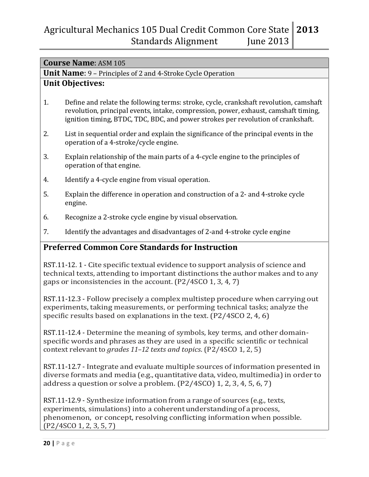#### **Course Name**: ASM 105

**Unit Name**: 9 – Principles of 2 and 4-Stroke Cycle Operation

#### **Unit Objectives:**

- 1. Define and relate the following terms: stroke, cycle, crankshaft revolution, camshaft revolution, principal events, intake, compression, power, exhaust, camshaft timing, ignition timing, BTDC, TDC, BDC, and power strokes per revolution of crankshaft.
- 2. List in sequential order and explain the significance of the principal events in the operation of a 4-stroke/cycle engine.
- 3. Explain relationship of the main parts of a 4-cycle engine to the principles of operation of that engine.
- 4. Identify a 4-cycle engine from visual operation.
- 5. Explain the difference in operation and construction of a 2- and 4-stroke cycle engine.
- 6. Recognize a 2-stroke cycle engine by visual observation.
- 7. Identify the advantages and disadvantages of 2-and 4-stroke cycle engine

### **Preferred Common Core Standards for Instruction**

RST.11-12. 1 - Cite specific textual evidence to support analysis of science and technical texts, attending to important distinctions the author makes and to any gaps or inconsistencies in the account. (P2/4SCO 1, 3, 4, 7)

RST.11-12.3 - Follow precisely a complex multistep procedure when carrying out experiments, taking measurements, or performing technical tasks; analyze the specific results based on explanations in the text. (P2/4SCO 2, 4, 6)

RST.11-12.4 - Determine the meaning of symbols, key terms, and other domainspecific words and phrases as they are used in a specific scientific or technical context relevant to *grades 11–12 texts and topics*. (P2/4SCO 1, 2, 5)

RST.11-12.7 - Integrate and evaluate multiple sources of information presented in diverse formats and media (e.g., quantitative data, video, multimedia) in order to address a question or solve a problem. (P2/4SCO) 1, 2, 3, 4, 5, 6, 7)

RST.11-12.9 - Synthesize information from a range of sources (e.g., texts, experiments, simulations) into a coherent understanding of a process, phenomenon, or concept, resolving conflicting information when possible. (P2/4SCO 1, 2, 3, 5, 7)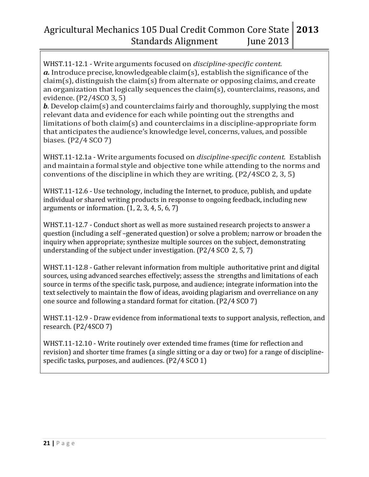WHST.11-12.1 - Write arguments focused on *discipline-specific content.*   $a$ . Introduce precise, knowledgeable claim(s), establish the significance of the  $claim(s)$ , distinguish the claim(s) from alternate or opposing claims, and create an organization that logically sequences the claim(s), counterclaims, reasons, and evidence. (P2/4SCO 3, 5)

*b*. Develop claim(s) and counterclaims fairly and thoroughly, supplying the most relevant data and evidence for each while pointing out the strengths and limitations of both claim(s) and counterclaims in a discipline-appropriate form that anticipates the audience's knowledge level, concerns, values, and possible biases. (P2/4 SCO 7)

WHST.11-12.1a - Write arguments focused on *discipline-specific content.* Establish and maintain a formal style and objective tone while attending to the norms and conventions of the discipline in which they are writing. (P2/4SCO 2, 3, 5)

WHST.11-12.6 - Use technology, including the Internet, to produce, publish, and update individual or shared writing products in response to ongoing feedback, including new arguments or information. (1, 2, 3, 4, 5, 6, 7)

WHST.11-12.7 - Conduct short as well as more sustained research projects to answer a question (including a self –generated question) or solve a problem; narrow or broaden the inquiry when appropriate; synthesize multiple sources on the subject, demonstrating understanding of the subject under investigation. (P2/4 SCO 2, 5, 7)

WHST.11-12.8 - Gather relevant information from multiple authoritative print and digital sources, using advanced searches effectively; assess the strengths and limitations of each source in terms of the specific task, purpose, and audience; integrate information into the text selectively to maintain the flow of ideas, avoiding plagiarism and overreliance on any one source and following a standard format for citation. (P2/4 SCO 7)

WHST.11-12.9 - Draw evidence from informational texts to support analysis, reflection, and research. (P2/4SCO 7)

WHST.11-12.10 - Write routinely over extended time frames (time for reflection and revision) and shorter time frames (a single sitting or a day or two) for a range of disciplinespecific tasks, purposes, and audiences. (P2/4 SCO 1)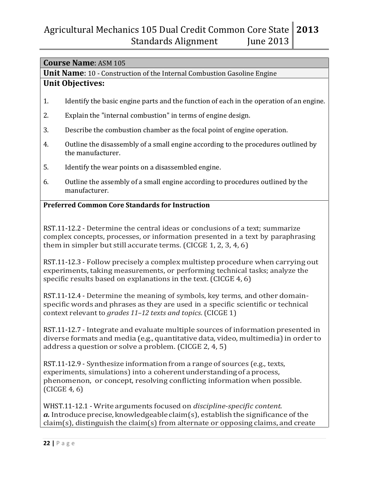### **Course Name**: ASM 105

**Unit Name**: 10 - Construction of the Internal Combustion Gasoline Engine

#### **Unit Objectives:**

- 1. Identify the basic engine parts and the function of each in the operation of an engine.
- 2. Explain the "internal combustion" in terms of engine design.
- 3. Describe the combustion chamber as the focal point of engine operation.
- 4. Outline the disassembly of a small engine according to the procedures outlined by the manufacturer.
- 5. Identify the wear points on a disassembled engine.
- 6. Outline the assembly of a small engine according to procedures outlined by the manufacturer.

#### **Preferred Common Core Standards for Instruction**

RST.11-12.2 - Determine the central ideas or conclusions of a text; summarize complex concepts, processes, or information presented in a text by paraphrasing them in simpler but still accurate terms. (CICGE 1, 2, 3, 4, 6)

RST.11-12.3 - Follow precisely a complex multistep procedure when carrying out experiments, taking measurements, or performing technical tasks; analyze the specific results based on explanations in the text. (CICGE 4, 6)

RST.11-12.4 - Determine the meaning of symbols, key terms, and other domainspecific words and phrases as they are used in a specific scientific or technical context relevant to *grades 11–12 texts and topics*. (CICGE 1)

RST.11-12.7 - Integrate and evaluate multiple sources of information presented in diverse formats and media (e.g., quantitative data, video, multimedia)in order to address a question or solve a problem. (CICGE 2, 4, 5)

RST.11-12.9 - Synthesize information from a range of sources (e.g., texts, experiments, simulations) into a coherent understanding of a process, phenomenon, or concept, resolving conflicting information when possible. (CICGE 4, 6)

WHST.11-12.1 - Write arguments focused on *discipline-specific content. a*. Introduce precise, knowledgeable claim(s), establish the significance of the  $claim(s)$ , distinguish the claim(s) from alternate or opposing claims, and create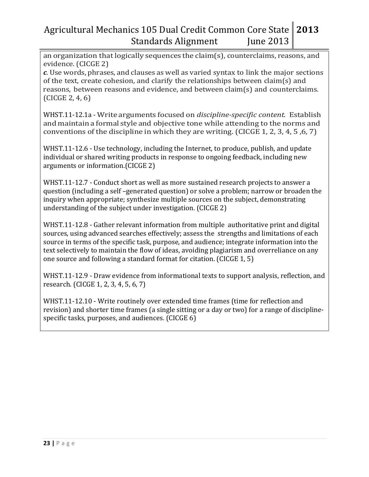an organization that logically sequences the claim(s), counterclaims, reasons, and evidence. (CICGE 2)

*c*. Use words, phrases, and clauses as well as varied syntax to link the major sections of the text, create cohesion, and clarify the relationships between claim(s) and reasons, between reasons and evidence, and between claim(s) and counterclaims. (CICGE 2, 4, 6)

WHST.11-12.1a - Write arguments focused on *discipline-specific content.* Establish and maintain a formal style and objective tone while attending to the norms and conventions of the discipline in which they are writing. (CICGE 1, 2, 3, 4, 5 ,6, 7)

WHST.11-12.6 - Use technology, including the Internet, to produce, publish, and update individual or shared writing products in response to ongoing feedback, including new arguments or information.(CICGE 2)

WHST.11-12.7 - Conduct short as well as more sustained research projects to answer a question (including a self –generated question) or solve a problem; narrow or broaden the inquiry when appropriate; synthesize multiple sources on the subject, demonstrating understanding of the subject under investigation. (CICGE 2)

WHST.11-12.8 - Gather relevant information from multiple authoritative print and digital sources, using advanced searches effectively; assess the strengths and limitations of each source in terms of the specific task, purpose, and audience; integrate information into the text selectively to maintain the flow of ideas, avoiding plagiarism and overreliance on any one source and following a standard format for citation. (CICGE 1, 5)

WHST.11-12.9 - Draw evidence from informational texts to support analysis, reflection, and research. (CICGE 1, 2, 3, 4, 5, 6, 7)

WHST.11-12.10 - Write routinely over extended time frames (time for reflection and revision) and shorter time frames (a single sitting or a day or two) for a range of disciplinespecific tasks, purposes, and audiences. (CICGE 6)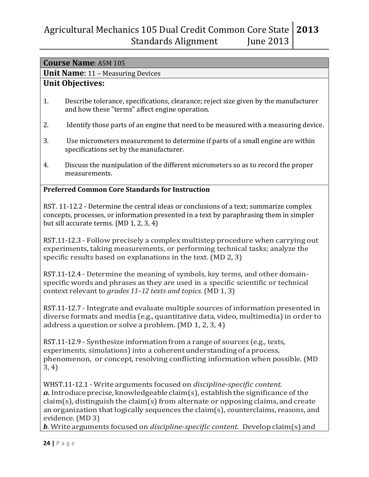| <b>Course Name: ASM 105</b> |
|-----------------------------|
|                             |

**Unit Name**: 11 – Measuring Devices

## **Unit Objectives:**

- 1. Describe tolerance, specifications, clearance; reject size given by the manufacturer and how these "terms" affect engine operation.
- 2. Identify those parts of an engine that need to be measured with a measuring device.
- 3. Use micrometers measurement to determine if parts of a small engine are within specifications set by the manufacturer.
- 4. Discuss the manipulation of the different micrometers so as to record the proper measurements.

#### **Preferred Common Core Standards for Instruction**

RST. 11-12.2 - Determine the central ideas or conclusions of a text; summarize complex concepts, processes, or information presented in a text by paraphrasing them in simpler but sill accurate terms. (MD 1, 2, 3, 4)

RST.11-12.3 - Follow precisely a complex multistep procedure when carrying out experiments, taking measurements, or performing technical tasks; analyze the specific results based on explanations in the text. (MD 2, 3)

RST.11-12.4 - Determine the meaning of symbols, key terms, and other domainspecific words and phrases as they are used in a specific scientific or technical context relevant to *grades 11–12 texts and topics*. (MD 1, 3)

RST.11-12.7 - Integrate and evaluate multiple sources of information presented in diverse formats and media (e.g., quantitative data, video, multimedia) in order to address a question or solve a problem. (MD 1, 2, 3, 4)

RST.11-12.9 - Synthesize information from a range of sources (e.g., texts, experiments, simulations) into a coherentunderstanding of a process, phenomenon, or concept, resolving conflicting information when possible. (MD 3, 4)

WHST.11-12.1 - Write arguments focused on *discipline-specific content.*   $a$ . Introduce precise, knowledgeable claim(s), establish the significance of the  $claim(s)$ , distinguish the claim(s) from alternate or opposing claims, and create an organization that logically sequences the claim(s), counterclaims, reasons, and evidence. (MD 3)

*b*. Write arguments focused on *discipline-specific content.* Develop claim(s) and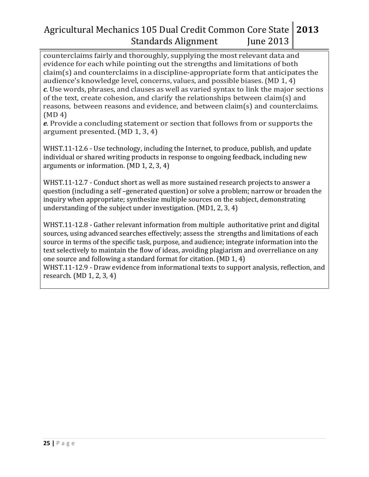counterclaims fairly and thoroughly, supplying the most relevant data and evidence for each while pointing out the strengths and limitations of both claim(s) and counterclaims in a discipline-appropriate form that anticipates the audience's knowledge level, concerns, values, and possible biases. (MD 1, 4) *c*. Use words, phrases, and clauses as well as varied syntax to link the major sections of the text, create cohesion, and clarify the relationships between claim(s) and reasons, between reasons and evidence, and between claim(s) and counterclaims. (MD 4)

*e*. Provide a concluding statement or section that follows from or supports the argument presented. (MD 1, 3, 4)

WHST.11-12.6 - Use technology, including the Internet, to produce, publish, and update individual or shared writing products in response to ongoing feedback, including new arguments or information. (MD 1, 2, 3, 4)

WHST.11-12.7 - Conduct short as well as more sustained research projects to answer a question (including a self –generated question) or solve a problem; narrow or broaden the inquiry when appropriate; synthesize multiple sources on the subject, demonstrating understanding of the subject under investigation. (MD1, 2, 3, 4)

WHST.11-12.8 - Gather relevant information from multiple authoritative print and digital sources, using advanced searches effectively; assess the strengths and limitations of each source in terms of the specific task, purpose, and audience; integrate information into the text selectively to maintain the flow of ideas, avoiding plagiarism and overreliance on any one source and following a standard format for citation. (MD 1, 4)

WHST.11-12.9 - Draw evidence from informational texts to support analysis, reflection, and research. (MD 1, 2, 3, 4)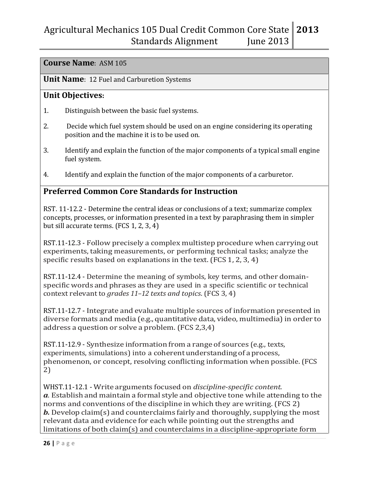#### **Course Name**: ASM 105

#### **Unit Name**: 12 Fuel and Carburetion Systems

### **Unit Objectives:**

- 1. Distinguish between the basic fuel systems.
- 2. Decide which fuel system should be used on an engine considering its operating position and the machine it is to be used on.
- 3. Identify and explain the function of the major components of a typical small engine fuel system.
- 4. Identify and explain the function of the major components of a carburetor.

### **Preferred Common Core Standards for Instruction**

RST. 11-12.2 - Determine the central ideas or conclusions of a text; summarize complex concepts, processes, or information presented in a text by paraphrasing them in simpler but sill accurate terms. (FCS 1, 2, 3, 4)

RST.11-12.3 - Follow precisely a complex multistep procedure when carrying out experiments, taking measurements, or performing technical tasks; analyze the specific results based on explanations in the text. (FCS 1, 2, 3, 4)

RST.11-12.4 - Determine the meaning of symbols, key terms, and other domainspecific words and phrases as they are used in a specific scientific or technical context relevant to *grades 11–12 texts and topics*. (FCS 3, 4)

RST.11-12.7 - Integrate and evaluate multiple sources of information presented in diverse formats and media (e.g., quantitative data, video, multimedia)in order to address a question or solve a problem. (FCS 2,3,4)

RST.11-12.9 - Synthesize information from a range of sources (e.g., texts, experiments, simulations) into a coherent understanding of a process, phenomenon, or concept, resolving conflicting information when possible. (FCS 2)

WHST.11-12.1 - Write arguments focused on *discipline-specific content. a*. Establish and maintain a formal style and objective tone while attending to the norms and conventions of the discipline in which they are writing. (FCS 2) *b.* Develop claim(s) and counterclaims fairly and thoroughly, supplying the most relevant data and evidence for each while pointing out the strengths and limitations of both claim(s) and counterclaims in a discipline-appropriate form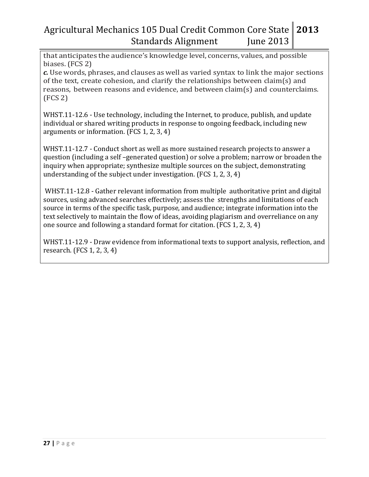that anticipates the audience's knowledge level, concerns, values, and possible biases. (FCS 2)

*c.* Use words, phrases, and clauses as well as varied syntax to link the major sections of the text, create cohesion, and clarify the relationships between claim(s) and reasons, between reasons and evidence, and between claim(s) and counterclaims. (FCS 2)

WHST.11-12.6 - Use technology, including the Internet, to produce, publish, and update individual or shared writing products in response to ongoing feedback, including new arguments or information. (FCS 1, 2, 3, 4)

WHST.11-12.7 - Conduct short as well as more sustained research projects to answer a question (including a self –generated question) or solve a problem; narrow or broaden the inquiry when appropriate; synthesize multiple sources on the subject, demonstrating understanding of the subject under investigation. (FCS 1, 2, 3, 4)

WHST.11-12.8 - Gather relevant information from multiple authoritative print and digital sources, using advanced searches effectively; assess the strengths and limitations of each source in terms of the specific task, purpose, and audience; integrate information into the text selectively to maintain the flow of ideas, avoiding plagiarism and overreliance on any one source and following a standard format for citation. (FCS 1, 2, 3, 4)

WHST.11-12.9 - Draw evidence from informational texts to support analysis, reflection, and research. (FCS 1, 2, 3, 4)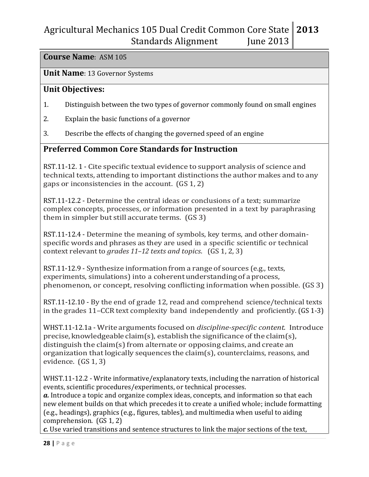#### **Course Name**: ASM 105

#### **Unit Name**: 13 Governor Systems

#### **Unit Objectives:**

- 1. Distinguish between the two types of governor commonly found on small engines
- 2. Explain the basic functions of a governor
- 3. Describe the effects of changing the governed speed of an engine

#### **Preferred Common Core Standards for Instruction**

RST.11-12. 1 - Cite specific textual evidence to support analysis of science and technical texts, attending to important distinctions the author makes and to any gaps or inconsistencies in the account. (GS 1, 2)

RST.11-12.2 - Determine the central ideas or conclusions of a text; summarize complex concepts, processes, or information presented in a text by paraphrasing them in simpler but still accurate terms. (GS 3)

RST.11-12.4 - Determine the meaning of symbols, key terms, and other domainspecific words and phrases as they are used in a specific scientific or technical context relevant to *grades 11–12 texts and topics*. (GS 1, 2, 3)

RST.11-12.9 - Synthesize information from a range of sources (e.g., texts, experiments, simulations) into a coherent understanding of a process, phenomenon, or concept, resolving conflicting information when possible. (GS 3)

RST.11-12.10 - By the end of grade 12, read and comprehend science/technical texts in the grades 11–CCR text complexity band independently and proficiently. (GS 1-3)

WHST.11-12.1a - Write arguments focused on *discipline-specific content.* Introduce precise, knowledgeable claim(s), establish the significance of the claim(s), distinguish the claim(s) from alternate or opposing claims, and create an organization thatlogically sequences the claim(s), counterclaims, reasons, and evidence. (GS 1, 3)

WHST.11-12.2 - Write informative/explanatory texts, including the narration of historical events, scientific procedures/experiments, or technical processes.

*a.* Introduce a topic and organize complex ideas, concepts, and information so that each new element builds on that which precedes it to create a unified whole; include formatting (e.g., headings), graphics (e.g., figures, tables), and multimedia when useful to aiding comprehension. (GS 1, 2)

*c.* Use varied transitions and sentence structures to link the major sections of the text,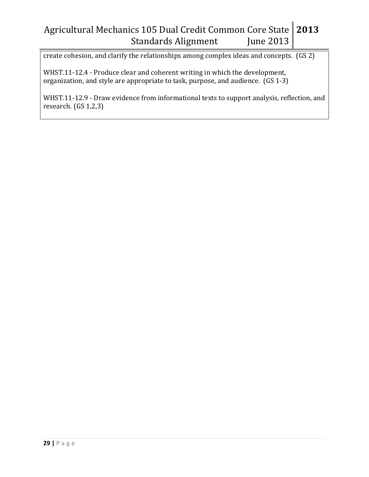create cohesion, and clarify the relationships among complex ideas and concepts. (GS 2)

WHST.11-12.4 - Produce clear and coherent writing in which the development, organization, and style are appropriate to task, purpose, and audience. (GS 1-3)

WHST.11-12.9 - Draw evidence from informational texts to support analysis, reflection, and research. (GS 1,2,3)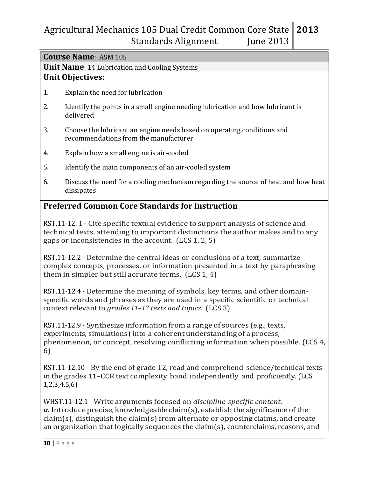| <b>Course Name: ASM 105</b>                                                                                                                                                                                                     |                                                                                                                                                                                                                              |  |  |
|---------------------------------------------------------------------------------------------------------------------------------------------------------------------------------------------------------------------------------|------------------------------------------------------------------------------------------------------------------------------------------------------------------------------------------------------------------------------|--|--|
|                                                                                                                                                                                                                                 | <b>Unit Name: 14 Lubrication and Cooling Systems</b>                                                                                                                                                                         |  |  |
|                                                                                                                                                                                                                                 | <b>Unit Objectives:</b>                                                                                                                                                                                                      |  |  |
| 1.                                                                                                                                                                                                                              | Explain the need for lubrication                                                                                                                                                                                             |  |  |
| 2.                                                                                                                                                                                                                              | Identify the points in a small engine needing lubrication and how lubricant is<br>delivered                                                                                                                                  |  |  |
| 3.                                                                                                                                                                                                                              | Choose the lubricant an engine needs based on operating conditions and<br>recommendations from the manufacturer                                                                                                              |  |  |
| 4.                                                                                                                                                                                                                              | Explain how a small engine is air-cooled                                                                                                                                                                                     |  |  |
| 5.                                                                                                                                                                                                                              | Identify the main components of an air-cooled system                                                                                                                                                                         |  |  |
| 6.                                                                                                                                                                                                                              | Discuss the need for a cooling mechanism regarding the source of heat and how heat<br>dissipates                                                                                                                             |  |  |
|                                                                                                                                                                                                                                 | <b>Preferred Common Core Standards for Instruction</b>                                                                                                                                                                       |  |  |
|                                                                                                                                                                                                                                 | RST.11-12.1 - Cite specific textual evidence to support analysis of science and<br>technical texts, attending to important distinctions the author makes and to any<br>gaps or inconsistencies in the account. (LCS 1, 2, 5) |  |  |
| RST.11-12.2 - Determine the central ideas or conclusions of a text; summarize<br>complex concepts, processes, or information presented in a text by paraphrasing<br>them in simpler but still accurate terms. (LCS 1, 4)        |                                                                                                                                                                                                                              |  |  |
| RST.11-12.4 - Determine the meaning of symbols, key terms, and other domain-<br>specific words and phrases as they are used in a specific scientific or technical<br>context relevant to grades 11-12 texts and topics. (LCS 3) |                                                                                                                                                                                                                              |  |  |

RST.11-12.9 - Synthesize information from a range of sources (e.g., texts, experiments, simulations) into a coherentunderstanding of a process, phenomenon, or concept, resolving conflicting information when possible. (LCS 4, 6)

RST.11-12.10 - By the end of grade 12, read and comprehend science/technical texts in the grades 11–CCR text complexity band independently and proficiently. (LCS 1,2,3,4,5,6)

WHST.11-12.1 - Write arguments focused on *discipline-specific content.*   $a$ . Introduce precise, knowledgeable claim(s), establish the significance of the  $claim(s)$ , distinguish the claim(s) from alternate or opposing claims, and create an organization that logically sequences the claim(s), counterclaims, reasons, and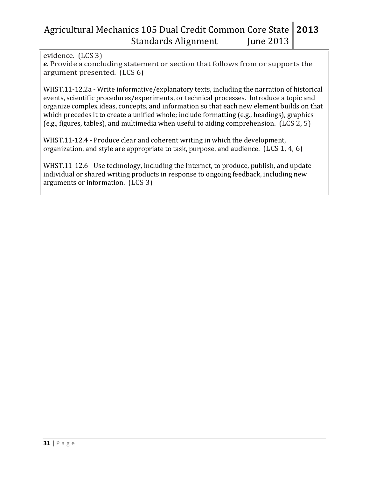evidence. (LCS 3)

*e*. Provide a concluding statement or section that follows from or supports the argument presented. (LCS 6)

WHST.11-12.2a - Write informative/explanatory texts, including the narration of historical events, scientific procedures/experiments, or technical processes. Introduce a topic and organize complex ideas, concepts, and information so that each new element builds on that which precedes it to create a unified whole; include formatting (e.g., headings), graphics (e.g., figures, tables), and multimedia when useful to aiding comprehension. (LCS 2, 5)

WHST.11-12.4 - Produce clear and coherent writing in which the development, organization, and style are appropriate to task, purpose, and audience. (LCS 1, 4, 6)

WHST.11-12.6 - Use technology, including the Internet, to produce, publish, and update individual or shared writing products in response to ongoing feedback, including new arguments or information. (LCS 3)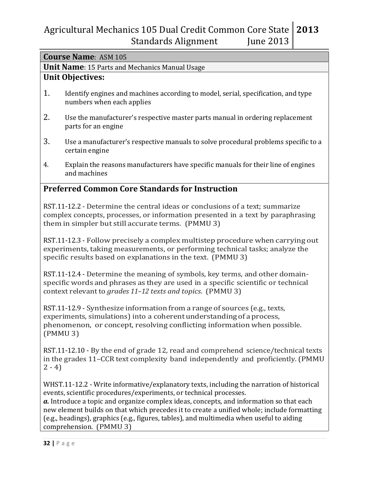#### **Course Name**: ASM 105

#### **Unit Name**: 15 Parts and Mechanics Manual Usage

### **Unit Objectives:**

- 1. Identify engines and machines according to model, serial, specification, and type numbers when each applies
- 2. Use the manufacturer's respective master parts manual in ordering replacement parts for an engine
- 3. Use a manufacturer's respective manuals to solve procedural problems specific to a certain engine
- 4. Explain the reasons manufacturers have specific manuals for their line of engines and machines

### **Preferred Common Core Standards for Instruction**

RST.11-12.2 - Determine the central ideas or conclusions of a text; summarize complex concepts, processes, or information presented in a text by paraphrasing them in simpler but still accurate terms. (PMMU 3)

RST.11-12.3 - Follow precisely a complex multistep procedure when carrying out experiments, taking measurements, or performing technical tasks; analyze the specific results based on explanations in the text. (PMMU 3)

RST.11-12.4 - Determine the meaning of symbols, key terms, and other domainspecific words and phrases as they are used in a specific scientific or technical context relevant to *grades 11–12 texts and topics*. (PMMU 3)

RST.11-12.9 - Synthesize information from a range of sources (e.g., texts, experiments, simulations) into a coherent understanding of a process, phenomenon, or concept, resolving conflicting information when possible. (PMMU 3)

RST.11-12.10 - By the end of grade 12, read and comprehend science/technical texts in the grades 11–CCR text complexity band independently and proficiently.(PMMU  $2 - 4$ 

WHST.11-12.2 - Write informative/explanatory texts, including the narration of historical events, scientific procedures/experiments, or technical processes.

*a.* Introduce a topic and organize complex ideas, concepts, and information so that each new element builds on that which precedes it to create a unified whole; include formatting (e.g., headings), graphics (e.g., figures, tables), and multimedia when useful to aiding comprehension. (PMMU 3)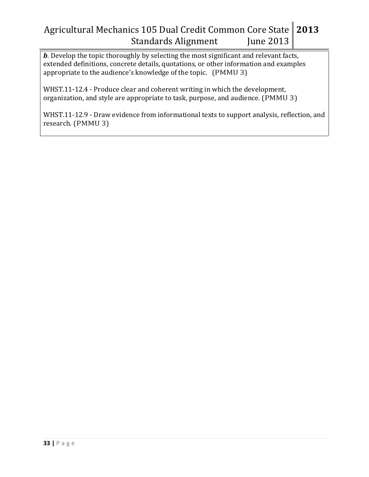*b*. Develop the topic thoroughly by selecting the most significant and relevant facts, extended definitions, concrete details, quotations, or other information and examples appropriate to the audience's knowledge of the topic. (PMMU 3)

WHST.11-12.4 - Produce clear and coherent writing in which the development, organization, and style are appropriate to task, purpose, and audience. (PMMU 3)

WHST.11-12.9 - Draw evidence from informational texts to support analysis, reflection, and research. (PMMU 3)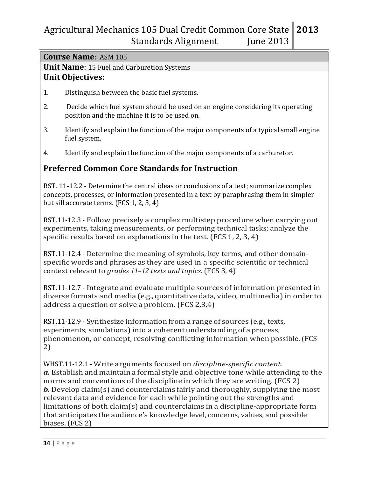#### **Course Name**: ASM 105

**Unit Name**: 15 Fuel and Carburetion Systems

## **Unit Objectives:**

- 1. Distinguish between the basic fuel systems.
- 2. Decide which fuel system should be used on an engine considering its operating position and the machine it is to be used on.
- 3. Identify and explain the function of the major components of a typical small engine fuel system.
- 4. Identify and explain the function of the major components of a carburetor.

### **Preferred Common Core Standards for Instruction**

RST. 11-12.2 - Determine the central ideas or conclusions of a text; summarize complex concepts, processes, or information presented in a text by paraphrasing them in simpler but sill accurate terms. (FCS 1, 2, 3, 4)

RST.11-12.3 - Follow precisely a complex multistep procedure when carrying out experiments, taking measurements, or performing technical tasks; analyze the specific results based on explanations in the text. (FCS 1, 2, 3, 4)

RST.11-12.4 - Determine the meaning of symbols, key terms, and other domainspecific words and phrases as they are used in a specific scientific or technical context relevant to *grades 11–12 texts and topics*. (FCS 3, 4)

RST.11-12.7 - Integrate and evaluate multiple sources of information presented in diverse formats and media (e.g., quantitative data, video, multimedia)in order to address a question or solve a problem. (FCS 2,3,4)

RST.11-12.9 - Synthesize information from a range of sources (e.g., texts, experiments, simulations) into a coherentunderstanding of a process, phenomenon, or concept, resolving conflicting information when possible. (FCS 2)

WHST.11-12.1 - Write arguments focused on *discipline-specific content. a.* Establish and maintain a formal style and objective tone while attending to the norms and conventions of the discipline in which they are writing. (FCS 2) *b.* Develop claim(s) and counterclaims fairly and thoroughly, supplying the most relevant data and evidence for each while pointing out the strengths and limitations of both claim(s) and counterclaims in a discipline-appropriate form that anticipates the audience's knowledge level, concerns, values, and possible biases. (FCS 2)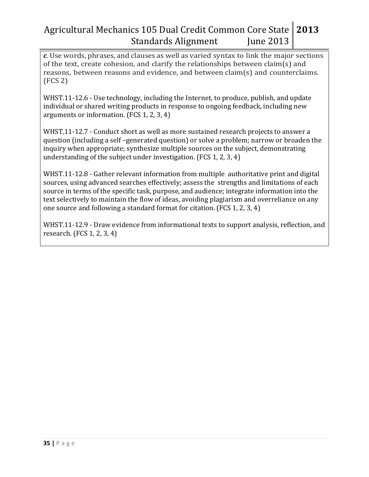*c*. Use words, phrases, and clauses as well as varied syntax to link the major sections of the text, create cohesion, and clarify the relationships between claim(s) and reasons, between reasons and evidence, and between claim(s) and counterclaims. (FCS 2)

WHST.11-12.6 - Use technology, including the Internet, to produce, publish, and update individual or shared writing products in response to ongoing feedback, including new arguments or information. (FCS 1, 2, 3, 4)

WHST.11-12.7 - Conduct short as well as more sustained research projects to answer a question (including a self –generated question) or solve a problem; narrow or broaden the inquiry when appropriate; synthesize multiple sources on the subject, demonstrating understanding of the subject under investigation. (FCS 1, 2, 3, 4)

WHST.11-12.8 - Gather relevant information from multiple authoritative print and digital sources, using advanced searches effectively; assess the strengths and limitations of each source in terms of the specific task, purpose, and audience; integrate information into the text selectively to maintain the flow of ideas, avoiding plagiarism and overreliance on any one source and following a standard format for citation. (FCS 1, 2, 3, 4)

WHST.11-12.9 - Draw evidence from informational texts to support analysis, reflection, and research. (FCS 1, 2, 3, 4)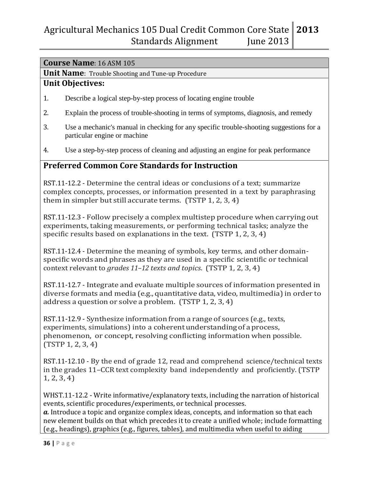#### **Course Name**: 16 ASM 105

**Unit Name**: Trouble Shooting and Tune-up Procedure

#### **Unit Objectives:**

- 1. Describe a logical step-by-step process of locating engine trouble
- 2. Explain the process of trouble-shooting in terms of symptoms, diagnosis, and remedy
- 3. Use a mechanic's manual in checking for any specific trouble-shooting suggestions for a particular engine or machine
- 4. Use a step-by-step process of cleaning and adjusting an engine for peak performance

### **Preferred Common Core Standards for Instruction**

RST.11-12.2 - Determine the central ideas or conclusions of a text; summarize complex concepts, processes, or information presented in a text by paraphrasing them in simpler but still accurate terms. (TSTP 1, 2, 3, 4)

RST.11-12.3 - Follow precisely a complex multistep procedure when carrying out experiments, taking measurements, or performing technical tasks; analyze the specific results based on explanations in the text. (TSTP 1, 2, 3, 4)

RST.11-12.4 - Determine the meaning of symbols, key terms, and other domainspecific words and phrases as they are used in a specific scientific or technical context relevant to *grades 11–12 texts and topics*. (TSTP 1, 2, 3, 4)

RST.11-12.7 - Integrate and evaluate multiple sources of information presented in diverse formats and media (e.g., quantitative data, video, multimedia)in order to address a question or solve a problem. (TSTP 1, 2, 3, 4)

RST.11-12.9 - Synthesize information from a range of sources (e.g., texts, experiments, simulations) into a coherent understanding of a process, phenomenon, or concept, resolving conflicting information when possible. (TSTP 1, 2, 3, 4)

RST.11-12.10 - By the end of grade 12, read and comprehend science/technical texts in the grades 11–CCR text complexity band independently and proficiently.(TSTP 1, 2, 3, 4)

WHST.11-12.2 - Write informative/explanatory texts, including the narration of historical events, scientific procedures/experiments, or technical processes. *a.* Introduce a topic and organize complex ideas, concepts, and information so that each

new element builds on that which precedes it to create a unified whole; include formatting (e.g., headings), graphics (e.g., figures, tables), and multimedia when useful to aiding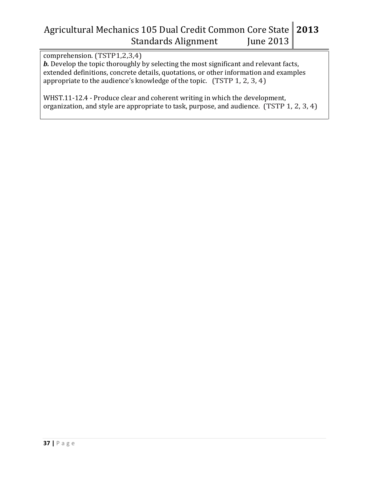comprehension. (TSTP1,2,3,4)

*b.* Develop the topic thoroughly by selecting the most significant and relevant facts, extended definitions, concrete details, quotations, or other information and examples appropriate to the audience's knowledge of the topic. (TSTP 1, 2, 3, 4)

WHST.11-12.4 - Produce clear and coherent writing in which the development, organization, and style are appropriate to task, purpose, and audience. (TSTP 1, 2, 3, 4)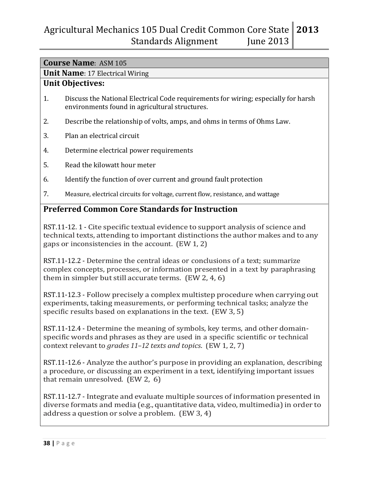|  | <b>Course Name: ASM 105</b> |  |
|--|-----------------------------|--|
|  |                             |  |

**Unit Name**: 17 Electrical Wiring

### **Unit Objectives:**

- 1. Discuss the National Electrical Code requirements for wiring; especially for harsh environments found in agricultural structures.
- 2. Describe the relationship of volts, amps, and ohms in terms of Ohms Law.
- 3. Plan an electrical circuit
- 4. Determine electrical power requirements
- 5. Read the kilowatt hour meter
- 6. Identify the function of over current and ground fault protection
- 7. Measure, electrical circuits for voltage, current flow, resistance, and wattage

### **Preferred Common Core Standards for Instruction**

RST.11-12. 1 - Cite specific textual evidence to support analysis of science and technical texts, attending to important distinctions the author makes and to any gaps or inconsistencies in the account. (EW 1, 2)

RST.11-12.2 - Determine the central ideas or conclusions of a text; summarize complex concepts, processes, or information presented in a text by paraphrasing them in simpler but still accurate terms. (EW 2, 4, 6)

RST.11-12.3 - Follow precisely a complex multistep procedure when carrying out experiments, taking measurements, or performing technical tasks; analyze the specific results based on explanations in the text. (EW 3, 5)

RST.11-12.4 - Determine the meaning of symbols, key terms, and other domainspecific words and phrases as they are used in a specific scientific or technical context relevant to *grades 11–12 texts and topics*. (EW 1, 2, 7)

RST.11-12.6 - Analyze the author's purpose in providing an explanation, describing a procedure, or discussing an experiment in a text, identifying important issues that remain unresolved. (EW 2, 6)

RST.11-12.7 - Integrate and evaluate multiple sources of information presented in diverse formats and media (e.g., quantitative data, video, multimedia)in order to address a question or solve a problem. (EW 3, 4)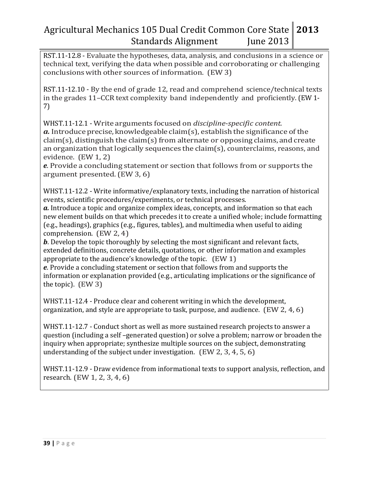RST.11-12.8 - Evaluate the hypotheses, data, analysis, and conclusions in a science or technical text, verifying the data when possible and corroborating or challenging conclusions with other sources of information. (EW 3)

RST.11-12.10 - By the end of grade 12, read and comprehend science/technical texts in the grades 11–CCR text complexity band independently and proficiently. (EW 1- 7)

WHST.11-12.1 - Write arguments focused on *discipline-specific content.*   $a$ . Introduce precise, knowledgeable claim(s), establish the significance of the  $claim(s)$ , distinguish the claim(s) from alternate or opposing claims, and create an organization that logically sequences the claim(s), counterclaims, reasons, and evidence. (EW 1, 2)

*e*. Provide a concluding statement or section that follows from or supports the argument presented. (EW 3, 6)

WHST.11-12.2 - Write informative/explanatory texts, including the narration of historical events, scientific procedures/experiments, or technical processes.

*a.* Introduce a topic and organize complex ideas, concepts, and information so that each new element builds on that which precedes it to create a unified whole; include formatting (e.g., headings), graphics (e.g., figures, tables), and multimedia when useful to aiding comprehension. (EW 2, 4)

*b*. Develop the topic thoroughly by selecting the most significant and relevant facts, extended definitions, concrete details, quotations, or other information and examples appropriate to the audience's knowledge of the topic. (EW 1)

*e*. Provide a concluding statement or section that follows from and supports the information or explanation provided (e.g., articulating implications or the significance of the topic). (EW 3)

WHST.11-12.4 - Produce clear and coherent writing in which the development, organization, and style are appropriate to task, purpose, and audience. (EW 2, 4, 6)

WHST.11-12.7 - Conduct short as well as more sustained research projects to answer a question (including a self –generated question) or solve a problem; narrow or broaden the inquiry when appropriate; synthesize multiple sources on the subject, demonstrating understanding of the subject under investigation. (EW 2, 3, 4, 5, 6)

WHST.11-12.9 - Draw evidence from informational texts to support analysis, reflection, and research. (EW 1, 2, 3, 4, 6)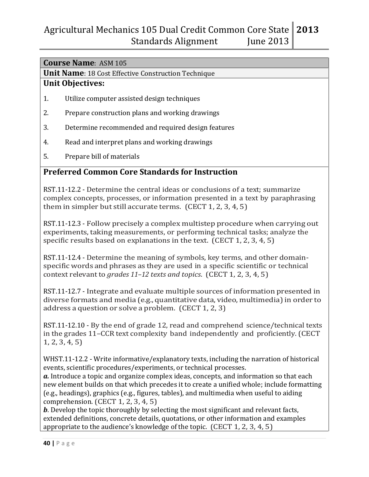#### **Course Name**: ASM 105

**Unit Name**: 18 Cost Effective Construction Technique

#### **Unit Objectives:**

- 1. Utilize computer assisted design techniques
- 2. Prepare construction plans and working drawings
- 3. Determine recommended and required design features
- 4. Read and interpret plans and working drawings
- 5. Prepare bill of materials

## **Preferred Common Core Standards for Instruction**

RST.11-12.2 - Determine the central ideas or conclusions of a text; summarize complex concepts, processes, or information presented in a text by paraphrasing them in simpler but still accurate terms. (CECT 1, 2, 3, 4, 5)

RST.11-12.3 - Follow precisely a complex multistep procedure when carrying out experiments, taking measurements, or performing technical tasks; analyze the specific results based on explanations in the text. (CECT 1, 2, 3, 4, 5)

RST.11-12.4 - Determine the meaning of symbols, key terms, and other domainspecific words and phrases as they are used in a specific scientific or technical context relevant to *grades 11–12 texts and topics*. (CECT 1, 2, 3, 4, 5)

RST.11-12.7 - Integrate and evaluate multiple sources of information presented in diverse formats and media (e.g., quantitative data, video, multimedia)in order to address a question or solve a problem. (CECT 1, 2, 3)

RST.11-12.10 - By the end of grade 12, read and comprehend science/technical texts in the grades 11–CCR text complexity band independently and proficiently.(CECT 1, 2, 3, 4, 5)

WHST.11-12.2 - Write informative/explanatory texts, including the narration of historical events, scientific procedures/experiments, or technical processes.

*a.* Introduce a topic and organize complex ideas, concepts, and information so that each new element builds on that which precedes it to create a unified whole; include formatting (e.g., headings), graphics (e.g., figures, tables), and multimedia when useful to aiding comprehension. (CECT 1, 2, 3, 4, 5)

*b*. Develop the topic thoroughly by selecting the most significant and relevant facts, extended definitions, concrete details, quotations, or other information and examples appropriate to the audience's knowledge of the topic. (CECT 1, 2, 3, 4, 5)